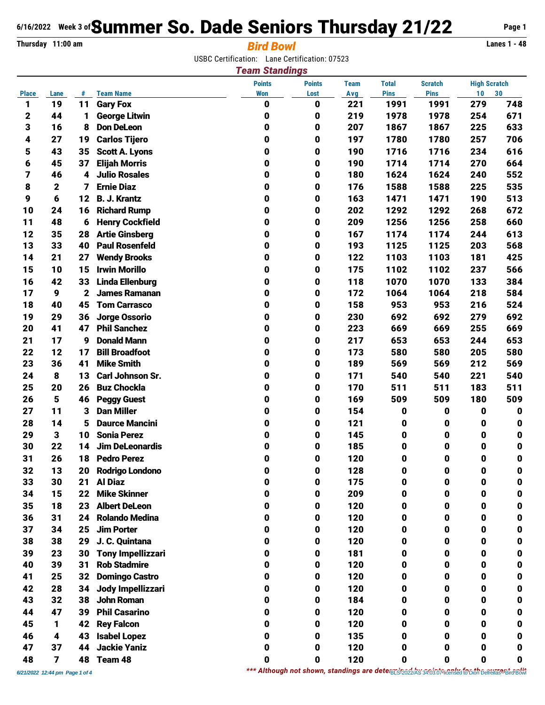## **6/16/2022** Week 3 of **Summer So. Dade Seniors Thursday 21/22** Page 1

## **Thursday 11:00 am** *Bird Bowl* **Lanes 1 - 48**

USBC Certification: Lane Certification: 07523

|              |                         |    |                          | <b>Team Standings</b> |             |              |                |                     |             |     |
|--------------|-------------------------|----|--------------------------|-----------------------|-------------|--------------|----------------|---------------------|-------------|-----|
|              |                         |    | <b>Points</b>            | <b>Points</b>         | <b>Team</b> | <b>Total</b> | <b>Scratch</b> | <b>High Scratch</b> |             |     |
| <b>Place</b> | Lane                    | #  | <b>Team Name</b>         | <b>Won</b>            | Lost        | Avg          | <b>Pins</b>    | <b>Pins</b>         | 10          | 30  |
| 1            | 19                      | 11 | <b>Gary Fox</b>          | 0                     | 0           | 221          | 1991           | 1991                | 279         | 748 |
| 2            | 44                      | 1  | <b>George Litwin</b>     | 0                     | 0           | 219          | 1978           | 1978                | 254         | 671 |
| 3            | 16                      | 8  | <b>Don DeLeon</b>        | 0                     | 0           | 207          | 1867           | 1867                | 225         | 633 |
| 4            | 27                      | 19 | <b>Carlos Tijero</b>     | 0                     | 0           | 197          | 1780           | 1780                | 257         | 706 |
| 5            | 43                      | 35 | <b>Scott A. Lyons</b>    | 0                     | 0           | 190          | 1716           | 1716                | 234         | 616 |
| 6            | 45                      | 37 | <b>Elijah Morris</b>     | 0                     | 0           | 190          | 1714           | 1714                | 270         | 664 |
| 7            | 46                      | 4  | <b>Julio Rosales</b>     | 0                     | 0           | 180          | 1624           | 1624                | 240         | 552 |
| 8            | $\mathbf 2$             | 7  | <b>Ernie Diaz</b>        | 0                     | 0           | 176          | 1588           | 1588                | 225         | 535 |
| 9            | 6                       | 12 | <b>B. J. Krantz</b>      | 0                     | 0           | 163          | 1471           | 1471                | 190         | 513 |
| 10           | 24                      | 16 | <b>Richard Rump</b>      | 0                     | 0           | 202          | 1292           | 1292                | 268         | 672 |
| 11           | 48                      | 6  | <b>Henry Cockfield</b>   | 0                     | 0           | 209          | 1256           | 1256                | 258         | 660 |
| 12           | 35                      | 28 | <b>Artie Ginsberg</b>    | 0                     | 0           | 167          | 1174           | 1174                | 244         | 613 |
| 13           | 33                      | 40 | <b>Paul Rosenfeld</b>    | 0                     | 0           | 193          | 1125           | 1125                | 203         | 568 |
| 14           | 21                      | 27 | <b>Wendy Brooks</b>      | 0                     | 0           | 122          | 1103           | 1103                | 181         | 425 |
| 15           | 10                      | 15 | <b>Irwin Morillo</b>     | 0                     | 0           | 175          | 1102           | 1102                | 237         | 566 |
| 16           | 42                      | 33 | <b>Linda Ellenburg</b>   | 0                     | 0           | 118          | 1070           | 1070                | 133         | 384 |
| 17           | 9                       | 2  | <b>James Ramanan</b>     | 0                     | 0           | 172          | 1064           | 1064                | 218         | 584 |
| 18           | 40                      | 45 | <b>Tom Carrasco</b>      | 0                     | 0           | 158          | 953            | 953                 | 216         | 524 |
| 19           | 29                      | 36 | <b>Jorge Ossorio</b>     | 0                     | 0           | 230          | 692            | 692                 | 279         | 692 |
| 20           | 41                      | 47 | <b>Phil Sanchez</b>      | 0                     | 0           | 223          | 669            | 669                 | 255         | 669 |
| 21           | 17                      | 9  | <b>Donald Mann</b>       | 0                     | 0           | 217          | 653            | 653                 | 244         | 653 |
| 22           | 12                      | 17 | <b>Bill Broadfoot</b>    | 0                     | 0           | 173          | 580            | 580                 | 205         | 580 |
| 23           | 36                      | 41 | <b>Mike Smith</b>        | 0                     | 0           | 189          | 569            | 569                 | 212         | 569 |
| 24           | 8                       | 13 | <b>Carl Johnson Sr.</b>  | 0                     | 0           | 171          | 540            | 540                 | 221         | 540 |
| 25           | 20                      | 26 | <b>Buz Chockla</b>       | 0                     | 0           | 170          | 511            | 511                 | 183         | 511 |
| 26           | $5\phantom{1}$          | 46 | <b>Peggy Guest</b>       | 0                     | 0           | 169          | 509            | 509                 | 180         | 509 |
| 27           | 11                      | 3  | <b>Dan Miller</b>        | 0                     | 0           | 154          | 0              | 0                   | $\pmb{0}$   | 0   |
| 28           | 14                      | 5  | <b>Daurce Mancini</b>    | 0                     | 0           | 121          | 0              | 0                   | 0           | 0   |
| 29           | 3                       | 10 | <b>Sonia Perez</b>       | 0                     | 0           | 145          | 0              | 0                   | 0           | 0   |
| 30           | 22                      | 14 | <b>Jim DeLeonardis</b>   | 0                     | 0           | 185          | 0              | 0                   | 0           | 0   |
| 31           | 26                      | 18 | <b>Pedro Perez</b>       | 0                     | $\bf{0}$    | 120          | 0              | 0                   | 0           | 0   |
| 32           | 13                      | 20 | <b>Rodrigo Londono</b>   | 0                     | 0           | 128          | 0              | 0                   | 0           |     |
| 33           | 30                      | 21 | <b>Al Diaz</b>           | 0                     | 0           | 175          | 0              | 0                   | 0           | 0   |
| 34           | 15                      | 22 | <b>Mike Skinner</b>      | 0                     | 0           | 209          | 0              | 0                   | 0           | 0   |
| 35           | 18                      | 23 | <b>Albert DeLeon</b>     | 0                     | 0           | 120          | 0              | 0                   | 0           | 0   |
| 36           | 31                      | 24 | <b>Rolando Medina</b>    | 0                     | 0           | 120          | 0              | 0                   | $\mathbf 0$ | 0   |
| 37           | 34                      | 25 | <b>Jim Porter</b>        | 0                     | 0           | 120          | 0              | 0                   | 0           | 0   |
| 38           | 38                      | 29 | J. C. Quintana           | 0                     | 0           | 120          | 0              | 0                   | 0           | 0   |
| 39           | 23                      | 30 | <b>Tony Impellizzari</b> | 0                     | 0           | 181          | 0              | 0                   | 0           | 0   |
| 40           | 39                      | 31 | <b>Rob Stadmire</b>      | 0                     | 0           | 120          | 0              | 0                   | 0           | 0   |
| 41           | 25                      | 32 | <b>Domingo Castro</b>    | 0                     | 0           | 120          | 0              | 0                   | $\mathbf 0$ | 0   |
| 42           | 28                      | 34 | Jody Impellizzari        | 0                     | 0           | 120          | 0              | 0                   | 0           | 0   |
| 43           | 32                      | 38 | <b>John Roman</b>        | 0                     | 0           | 184          | 0              | 0                   | 0           | 0   |
| 44           | 47                      | 39 | <b>Phil Casarino</b>     | 0                     | 0           | 120          | 0              | 0                   | 0           | 0   |
| 45           | 1                       | 42 | <b>Rey Falcon</b>        | 0                     | 0           | 120          | 0              | 0                   | 0           | 0   |
| 46           | 4                       | 43 | <b>Isabel Lopez</b>      | 0                     | 0           | 135          | 0              | 0                   | 0           | 0   |
| 47           | 37                      | 44 | <b>Jackie Yaniz</b>      | 0                     | 0           | 120          | 0              | 0                   | 0           | 0   |
| 48           | $\overline{\mathbf{z}}$ |    | 48 Team 48               | 0                     | $\mathbf 0$ | 120          | $\mathbf 0$    | 0                   | 0           | 0   |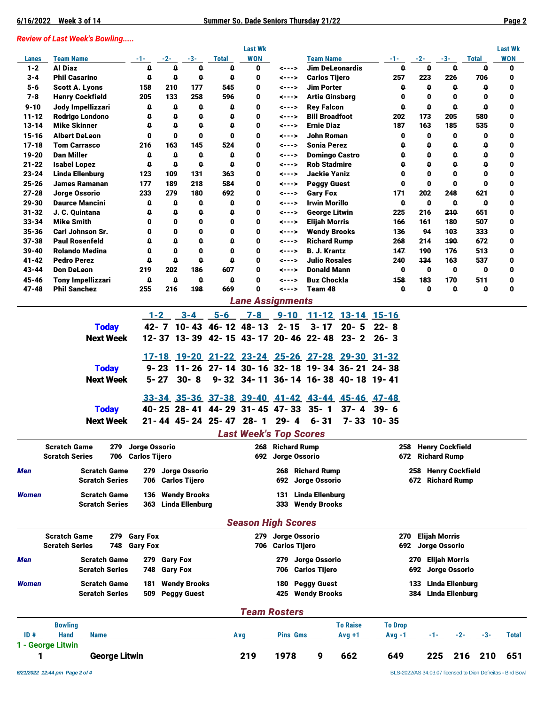## *Review of Last Week's Bowling.....*

|                        |                                                 |                      |                     |                                       |                        | <b>Last Wk</b>                      |                     |                                           |                                                 |                |                    |                                            |                     | <b>Last Wk</b> |
|------------------------|-------------------------------------------------|----------------------|---------------------|---------------------------------------|------------------------|-------------------------------------|---------------------|-------------------------------------------|-------------------------------------------------|----------------|--------------------|--------------------------------------------|---------------------|----------------|
| Lanes                  | <b>Team Name</b>                                | -1-                  | -2-                 | $-3-$                                 | Total                  | <b>WON</b>                          |                     | <b>Team Name</b>                          |                                                 | -1-            | $-2-$              | $-3-$                                      | <b>Total</b>        | <b>WON</b>     |
| $1 - 2$                | <b>Al Diaz</b>                                  | 0                    | 0                   | 0                                     | 0                      | 0                                   | <--->               | <b>Jim DeLeonardis</b>                    |                                                 | 0              | 0                  | $\mathbf 0$                                | 0                   | 0              |
| $3 - 4$<br>$5 - 6$     | <b>Phil Casarino</b><br><b>Scott A. Lyons</b>   | 0<br>158             | $\mathbf 0$<br>210  | $\mathbf{0}$<br>177                   | $\mathbf 0$<br>545     | 0<br>0                              | <---><br><--->      | <b>Carlos Tijero</b><br><b>Jim Porter</b> |                                                 | 257<br>0       | 223<br>$\mathbf 0$ | 226<br>$\mathbf{0}$                        | 706<br>$\mathbf 0$  | 0<br>0         |
| $7 - 8$                | <b>Henry Cockfield</b>                          | 205                  | 133                 | 258                                   | 596                    | 0                                   | <--->               | <b>Artie Ginsberg</b>                     |                                                 | 0              | 0                  | $\mathbf{0}$                               | $\mathbf{0}$        | 0              |
| $9 - 10$               | Jody Impellizzari                               | 0                    | 0                   | $\mathbf 0$                           | 0                      | 0                                   | <--->               | <b>Rey Falcon</b>                         |                                                 | o              | 0                  | 0                                          | $\mathbf{0}$        | 0              |
| $11 - 12$              | Rodrigo Londono                                 |                      | o                   | $\mathbf 0$                           | o                      | 0                                   | <--->               | <b>Bill Broadfoot</b>                     |                                                 | 202            | 173                | 205                                        | 580                 | 0              |
| $13 - 14$              | <b>Mike Skinner</b>                             | 0                    | 0                   | $\mathbf{0}$                          | 0                      | 0                                   | <--->               | <b>Ernie Diaz</b>                         |                                                 | 187            | 163                | 185                                        | 535                 | 0              |
| $15 - 16$              | <b>Albert DeLeon</b>                            | 0                    | $\mathbf{0}$        | $\mathbf{0}$                          | $\mathbf{0}$           | 0                                   | <--->               | <b>John Roman</b>                         |                                                 | 0              | 0                  | $\mathbf{0}$                               | $\mathbf 0$         | 0              |
| $17 - 18$              | <b>Tom Carrasco</b>                             | 216                  | 163                 | 145                                   | 524                    | 0                                   | <--->               | <b>Sonia Perez</b>                        |                                                 | o              | 0                  | $\mathbf{0}$                               | $\mathbf{0}$        | 0              |
| $19 - 20$              | <b>Dan Miller</b>                               | 0                    | $\mathbf{0}$        | $\mathbf 0$                           | 0                      | 0                                   | <--->               | <b>Domingo Castro</b>                     |                                                 | o              | 0                  | 0                                          | $\mathbf{0}$        | 0              |
| $21 - 22$              | <b>Isabel Lopez</b>                             | 0                    | $\mathbf{0}$        | $\mathbf{0}$                          | o                      | 0                                   | <--->               | <b>Rob Stadmire</b>                       |                                                 | ۵              | 0                  | $\mathbf{0}$                               | $\mathbf{0}$        | 0              |
| $23 - 24$              | <b>Linda Ellenburg</b>                          | 123                  | 109                 | 131                                   | 363                    | 0                                   | <--->               | <b>Jackie Yaniz</b>                       |                                                 | 0              | $\mathbf 0$        | $\mathbf{0}$                               | $\mathbf{0}$        | 0              |
| $25 - 26$<br>$27 - 28$ | <b>James Ramanan</b><br>Jorge Ossorio           | 177<br>233           | 189<br>279          | 218<br>180                            | 584<br>692             | 0<br>0                              | <---><br><--->      | <b>Peggy Guest</b><br><b>Gary Fox</b>     |                                                 | 0<br>171       | $\mathbf 0$<br>202 | $\mathbf{0}$<br>248                        | $\mathbf{0}$<br>621 | 0<br>0         |
| 29-30                  | <b>Daurce Mancini</b>                           | 0                    | 0                   | $\mathbf{0}$                          | 0                      | 0                                   | <--->               | <b>Irwin Morillo</b>                      |                                                 | $\mathbf 0$    | $\mathbf 0$        | $\mathbf{0}$                               | $\mathbf{0}$        | 0              |
| $31 - 32$              | J. C. Quintana                                  | 0                    | o                   | $\mathbf 0$                           | 0                      | 0                                   | <--->               | <b>George Litwin</b>                      |                                                 | 225            | 216                | 210                                        | 651                 | 0              |
| $33 - 34$              | <b>Mike Smith</b>                               | 0                    | $\mathbf{0}$        | $\mathbf{0}$                          | 0                      | 0                                   | <--->               | <b>Elijah Morris</b>                      |                                                 | 166            | 161                | 180                                        | 507                 | 0              |
| $35 - 36$              | <b>Carl Johnson Sr.</b>                         | 0                    | $\mathbf{0}$        | O                                     | 0                      | 0                                   | <--->               | <b>Wendy Brooks</b>                       |                                                 | 136            | 94                 | 103                                        | 333                 | 0              |
| $37 - 38$              | <b>Paul Rosenfeld</b>                           | O                    | O                   | $\mathbf{0}$                          | O                      | 0                                   | <--->               | <b>Richard Rump</b>                       |                                                 | 268            | 214                | 190                                        | 672                 | 0              |
| $39 - 40$              | <b>Rolando Medina</b>                           | $\mathbf{0}$         | O                   | $\mathbf{0}$                          | O                      | 0                                   | <--->               | <b>B. J. Krantz</b>                       |                                                 | 147            | 190                | 176                                        | 513                 | 0              |
| $41 - 42$              | <b>Pedro Perez</b>                              | 0                    | 0                   | $\mathbf{0}$                          | o                      | 0                                   | <--->               | <b>Julio Rosales</b>                      |                                                 | 240            | 134                | 163                                        | 537                 | 0              |
| 43-44                  | <b>Don DeLeon</b>                               | 219                  | 202                 | 186                                   | 607                    | 0                                   | <--->               | <b>Donald Mann</b>                        |                                                 | $\mathbf 0$    | $\mathbf 0$        | 0                                          | 0                   | 0              |
| 45-46<br>$47 - 48$     | <b>Tony Impellizzari</b><br><b>Phil Sanchez</b> | 0<br>255             | $\mathbf 0$<br>216  | $\mathbf{0}$<br>198                   | $\mathbf{0}$<br>669    | 0<br>$\bf{0}$                       | <---><br><--->      | <b>Buz Chockla</b><br>Team 48             |                                                 | 158<br>O       | 183<br>0           | 170<br>$\mathbf 0$                         | 511<br>$\mathbf 0$  | 0<br>0         |
|                        |                                                 |                      |                     |                                       |                        |                                     |                     |                                           |                                                 |                |                    |                                            |                     |                |
|                        |                                                 |                      |                     |                                       |                        | <b>Lane Assignments</b>             |                     |                                           |                                                 |                |                    |                                            |                     |                |
|                        |                                                 | $1 - 2$              |                     | $3 - 4$                               | $5 - 6$                | $7 - 8$                             |                     |                                           | 9-10 11-12 13-14 15-16                          |                |                    |                                            |                     |                |
|                        | <b>Today</b>                                    |                      |                     |                                       |                        | 42- 7 10-43 46-12 48-13             | $2 - 15$            | $3 - 17$                                  | $20 - 5$                                        | $22 - 8$       |                    |                                            |                     |                |
|                        | <b>Next Week</b>                                |                      |                     |                                       |                        | 12-37 13-39 42-15 43-17 20-46 22-48 |                     |                                           | $23 - 2$                                        | $26 - 3$       |                    |                                            |                     |                |
|                        |                                                 |                      |                     |                                       |                        |                                     |                     |                                           | 17-18 19-20 21-22 23-24 25-26 27-28 29-30 31-32 |                |                    |                                            |                     |                |
|                        |                                                 |                      |                     |                                       |                        |                                     |                     |                                           |                                                 |                |                    |                                            |                     |                |
|                        | <b>Today</b>                                    | $9 - 23$             |                     |                                       |                        |                                     |                     |                                           | 11-26 27-14 30-16 32-18 19-34 36-21 24-38       |                |                    |                                            |                     |                |
|                        | <b>Next Week</b>                                | $5 - 27$             |                     | $30 - 8$                              |                        |                                     |                     |                                           | 9-32 34-11 36-14 16-38 40-18 19-41              |                |                    |                                            |                     |                |
|                        |                                                 |                      |                     |                                       |                        |                                     |                     |                                           | 33-34 35-36 37-38 39-40 41-42 43-44 45-46 47-48 |                |                    |                                            |                     |                |
|                        | <b>Today</b>                                    |                      |                     |                                       |                        | 40-25 28-41 44-29 31-45 47-33       |                     | $35 - 1$                                  | $37 - 4$                                        | $39 - 6$       |                    |                                            |                     |                |
|                        | <b>Next Week</b>                                |                      |                     |                                       | 21-44 45-24 25-47 28-1 |                                     | $29 - 4$            | $6 - 31$                                  |                                                 | 7-33 10-35     |                    |                                            |                     |                |
|                        |                                                 |                      |                     |                                       |                        | <b>Last Week's Top Scores</b>       |                     |                                           |                                                 |                |                    |                                            |                     |                |
|                        | <b>Scratch Game</b><br>279                      | Jorge Ossorio        |                     |                                       |                        |                                     | <b>Richard Rump</b> |                                           |                                                 |                |                    | 258 Henry Cockfield                        |                     |                |
|                        | <b>Scratch Series</b><br>706                    | <b>Carlos Tijero</b> |                     |                                       |                        | 268                                 | 692 Jorge Ossorio   |                                           |                                                 |                |                    | 672 Richard Rump                           |                     |                |
|                        |                                                 |                      |                     |                                       |                        |                                     |                     |                                           |                                                 |                |                    |                                            |                     |                |
| Men                    | <b>Scratch Game</b><br><b>Scratch Series</b>    | 279<br>706           |                     | Jorge Ossorio<br><b>Carlos Tijero</b> |                        |                                     | 692                 | 268 Richard Rump<br>Jorge Ossorio         |                                                 |                | 258                | <b>Henry Cockfield</b><br>672 Richard Rump |                     |                |
|                        |                                                 |                      |                     |                                       |                        |                                     |                     |                                           |                                                 |                |                    |                                            |                     |                |
| <b>Women</b>           | <b>Scratch Game</b>                             | 136                  |                     | <b>Wendy Brooks</b>                   |                        |                                     | 131                 | Linda Ellenburg                           |                                                 |                |                    |                                            |                     |                |
|                        | <b>Scratch Series</b>                           |                      |                     | 363 Linda Ellenburg                   |                        |                                     |                     | 333 Wendy Brooks                          |                                                 |                |                    |                                            |                     |                |
|                        |                                                 |                      |                     |                                       |                        | <b>Season High Scores</b>           |                     |                                           |                                                 |                |                    |                                            |                     |                |
|                        | <b>Scratch Game</b>                             | 279 Gary Fox         |                     |                                       |                        |                                     | 279 Jorge Ossorio   |                                           |                                                 | 270            |                    | <b>Elijah Morris</b>                       |                     |                |
|                        | <b>Scratch Series</b><br>748                    | <b>Gary Fox</b>      |                     |                                       |                        |                                     | 706 Carlos Tijero   |                                           |                                                 |                |                    | 692 Jorge Ossorio                          |                     |                |
| Men                    | <b>Scratch Game</b>                             |                      | 279 Gary Fox        |                                       |                        |                                     |                     | 279 Jorge Ossorio                         |                                                 |                |                    | 270 Elijah Morris                          |                     |                |
|                        | <b>Scratch Series</b>                           | 748                  | <b>Gary Fox</b>     |                                       |                        |                                     | 706                 | <b>Carlos Tijero</b>                      |                                                 |                | 692                | Jorge Ossorio                              |                     |                |
| <b>Women</b>           | <b>Scratch Game</b>                             |                      |                     | <b>Wendy Brooks</b>                   |                        |                                     | 180                 | <b>Peggy Guest</b>                        |                                                 |                | 133                | <b>Linda Ellenburg</b>                     |                     |                |
|                        | <b>Scratch Series</b>                           | 181<br>509           |                     | <b>Peggy Guest</b>                    |                        |                                     |                     | 425 Wendy Brooks                          |                                                 |                | 384                | <b>Linda Ellenburg</b>                     |                     |                |
|                        |                                                 |                      |                     |                                       |                        |                                     |                     |                                           |                                                 |                |                    |                                            |                     |                |
|                        |                                                 |                      | <b>Team Rosters</b> |                                       |                        |                                     |                     |                                           |                                                 |                |                    |                                            |                     |                |
|                        | <b>Bowling</b>                                  |                      |                     |                                       |                        |                                     |                     |                                           | <b>To Raise</b>                                 | <b>To Drop</b> |                    |                                            |                     |                |
| ID#                    | <b>Hand</b><br><b>Name</b>                      |                      |                     |                                       |                        | Avg                                 | <b>Pins Gms</b>     |                                           | $Avg +1$                                        | Avg -1         |                    | -1- 1                                      | $-2$ - $-3$ -       | Total          |
|                        | 1 - George Litwin                               |                      |                     |                                       |                        |                                     |                     |                                           |                                                 |                |                    |                                            |                     |                |
| 1                      | <b>George Litwin</b>                            |                      |                     |                                       |                        | 219                                 | 1978                | 9                                         | 662                                             | 649            |                    | 225                                        | 216 210             | 651            |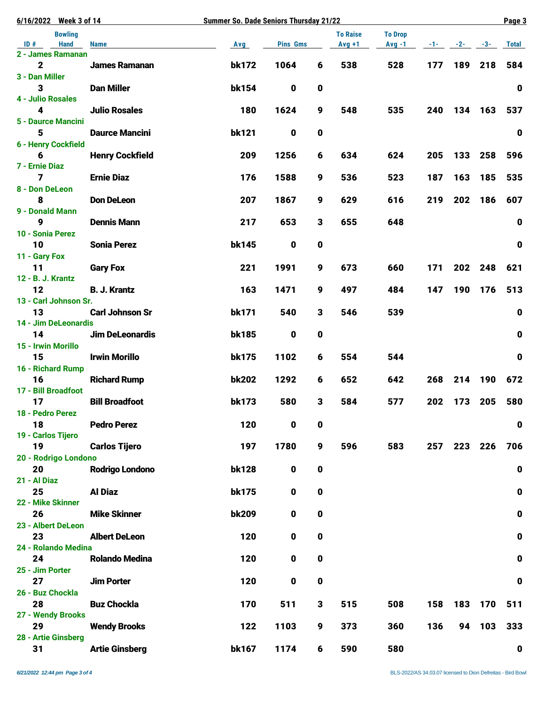| 6/16/2022 Week 3 of 14               |                        | <b>Summer So. Dade Seniors Thursday 21/22</b> |                 |             |                             |                            |          |       |         | Page 3      |
|--------------------------------------|------------------------|-----------------------------------------------|-----------------|-------------|-----------------------------|----------------------------|----------|-------|---------|-------------|
| <b>Bowling</b><br><b>Hand</b><br>ID# | <b>Name</b>            | Avg                                           | <b>Pins Gms</b> |             | <b>To Raise</b><br>$Avg +1$ | <b>To Drop</b><br>$Avg -1$ | -1- 1- 1 | $-2-$ | $-3-$   | Total       |
| 2 - James Ramanan                    |                        |                                               |                 |             |                             |                            |          |       |         |             |
| $\mathbf 2$                          | <b>James Ramanan</b>   | bk172                                         | 1064            | 6           | 538                         | 528                        | 177      |       | 189 218 | 584         |
| 3 - Dan Miller                       |                        |                                               |                 |             |                             |                            |          |       |         |             |
| 3<br><b>4 - Julio Rosales</b>        | <b>Dan Miller</b>      | bk154                                         | $\mathbf 0$     | 0           |                             |                            |          |       |         | $\mathbf 0$ |
| 4                                    | <b>Julio Rosales</b>   | 180                                           | 1624            | 9           | 548                         | 535                        | 240      | 134   | 163     | 537         |
| 5 - Daurce Mancini                   |                        |                                               |                 |             |                             |                            |          |       |         |             |
| 5                                    | <b>Daurce Mancini</b>  | <b>bk121</b>                                  | $\mathbf 0$     | $\pmb{0}$   |                             |                            |          |       |         | $\pmb{0}$   |
| 6 - Henry Cockfield                  |                        |                                               |                 |             |                             |                            |          |       |         |             |
| 6                                    | <b>Henry Cockfield</b> | 209                                           | 1256            | 6           | 634                         | 624                        | 205      | 133   | 258     | 596         |
| 7 - Ernie Diaz<br>7                  | <b>Ernie Diaz</b>      | 176                                           | 1588            | 9           | 536                         | 523                        | 187      | 163   | 185     | 535         |
| 8 - Don DeLeon                       |                        |                                               |                 |             |                             |                            |          |       |         |             |
| 8                                    | <b>Don DeLeon</b>      | 207                                           | 1867            | 9           | 629                         | 616                        | 219      | 202   | 186     | 607         |
| 9 - Donald Mann                      |                        |                                               |                 |             |                             |                            |          |       |         |             |
| 9                                    | <b>Dennis Mann</b>     | 217                                           | 653             | 3           | 655                         | 648                        |          |       |         | $\mathbf 0$ |
| 10 - Sonia Perez                     |                        |                                               |                 |             |                             |                            |          |       |         |             |
| 10<br>11 - Gary Fox                  | <b>Sonia Perez</b>     | <b>bk145</b>                                  | $\mathbf 0$     | 0           |                             |                            |          |       |         | $\mathbf 0$ |
| 11                                   | <b>Gary Fox</b>        | 221                                           | 1991            | 9           | 673                         | 660                        | 171      | 202   | 248     | 621         |
| 12 - B. J. Krantz                    |                        |                                               |                 |             |                             |                            |          |       |         |             |
| 12                                   | <b>B. J. Krantz</b>    | 163                                           | 1471            | 9           | 497                         | 484                        | 147      | 190   | 176     | 513         |
| 13 - Carl Johnson Sr.                |                        |                                               |                 |             |                             |                            |          |       |         |             |
| 13                                   | <b>Carl Johnson Sr</b> | bk171                                         | 540             | 3           | 546                         | 539                        |          |       |         | $\pmb{0}$   |
| 14 - Jim DeLeonardis<br>14           | <b>Jim DeLeonardis</b> | <b>bk185</b>                                  | $\mathbf 0$     | 0           |                             |                            |          |       |         | $\pmb{0}$   |
| 15 - Irwin Morillo                   |                        |                                               |                 |             |                             |                            |          |       |         |             |
| 15                                   | <b>Irwin Morillo</b>   | <b>bk175</b>                                  | 1102            | 6           | 554                         | 544                        |          |       |         | $\mathbf 0$ |
| 16 - Richard Rump                    |                        |                                               |                 |             |                             |                            |          |       |         |             |
| 16                                   | <b>Richard Rump</b>    | <b>bk202</b>                                  | 1292            | 6           | 652                         | 642                        | 268      | 214   | 190     | 672         |
| 17 - Bill Broadfoot<br>17            | <b>Bill Broadfoot</b>  | <b>bk173</b>                                  | 580             | 3           | 584                         | 577                        | 202      | 173   | 205     | 580         |
| 18 - Pedro Perez                     |                        |                                               |                 |             |                             |                            |          |       |         |             |
| 18                                   | <b>Pedro Perez</b>     | 120                                           | 0               | 0           |                             |                            |          |       |         | $\pmb{0}$   |
| 19 - Carlos Tijero                   |                        |                                               |                 |             |                             |                            |          |       |         |             |
| 19                                   | <b>Carlos Tijero</b>   | 197                                           | 1780            | 9           | 596                         | 583                        | 257      |       | 223 226 | 706         |
| 20 - Rodrigo Londono                 |                        |                                               |                 |             |                             |                            |          |       |         |             |
| 20<br>21 - Al Diaz                   | <b>Rodrigo Londono</b> | <b>bk128</b>                                  | $\mathbf 0$     | $\pmb{0}$   |                             |                            |          |       |         | $\pmb{0}$   |
| 25                                   | <b>Al Diaz</b>         | <b>bk175</b>                                  | $\mathbf 0$     | 0           |                             |                            |          |       |         | $\mathbf 0$ |
| 22 - Mike Skinner                    |                        |                                               |                 |             |                             |                            |          |       |         |             |
| 26                                   | <b>Mike Skinner</b>    | <b>bk209</b>                                  | $\mathbf 0$     | $\mathbf 0$ |                             |                            |          |       |         | $\mathbf 0$ |
| 23 - Albert DeLeon                   |                        |                                               |                 |             |                             |                            |          |       |         |             |
| 23                                   | <b>Albert DeLeon</b>   | 120                                           | 0               | 0           |                             |                            |          |       |         | $\pmb{0}$   |
| 24 - Rolando Medina<br>24            | <b>Rolando Medina</b>  | 120                                           | $\mathbf 0$     | 0           |                             |                            |          |       |         | $\pmb{0}$   |
| 25 - Jim Porter                      |                        |                                               |                 |             |                             |                            |          |       |         |             |
| 27                                   | <b>Jim Porter</b>      | 120                                           | $\mathbf 0$     | $\mathbf 0$ |                             |                            |          |       |         | $\mathbf 0$ |
| 26 - Buz Chockla                     |                        |                                               |                 |             |                             |                            |          |       |         |             |
| 28                                   | <b>Buz Chockla</b>     | 170                                           | 511             | 3           | 515                         | 508                        | 158      | 183   | 170     | 511         |
| 27 - Wendy Brooks                    |                        |                                               |                 |             |                             |                            |          |       |         |             |
| 29<br>28 - Artie Ginsberg            | <b>Wendy Brooks</b>    | 122                                           | 1103            | 9           | 373                         | 360                        | 136      |       | 94 103  | 333         |
| 31                                   | <b>Artie Ginsberg</b>  | bk167                                         | 1174            | 6           | 590                         | 580                        |          |       |         | $\mathbf 0$ |